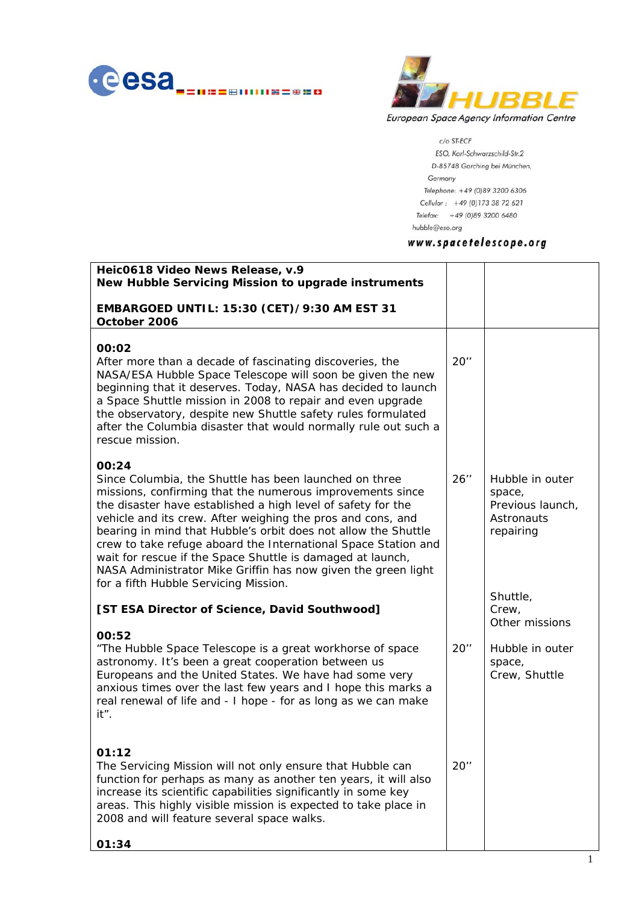



 $c/\mathrm{o}$  ST-ECF

ESO, Karl-Schwarzschild-Str.2 D-85748 Garching bei München, Germany Telephone: +49 (0)89 3200 6306 Cellular: +49 (0)173 38 72 621 Telefax: +49 (0)89 3200 6480 hubble@eso.org

## www.spacetelescope.org

| 20''   |                                                                                                                        |
|--------|------------------------------------------------------------------------------------------------------------------------|
| $26$ " | Hubble in outer<br>space,<br>Previous launch,<br><b>Astronauts</b><br>repairing<br>Shuttle,<br>Crew,<br>Other missions |
| 20''   | Hubble in outer<br>space,<br>Crew, Shuttle                                                                             |
| $20$ " |                                                                                                                        |
|        |                                                                                                                        |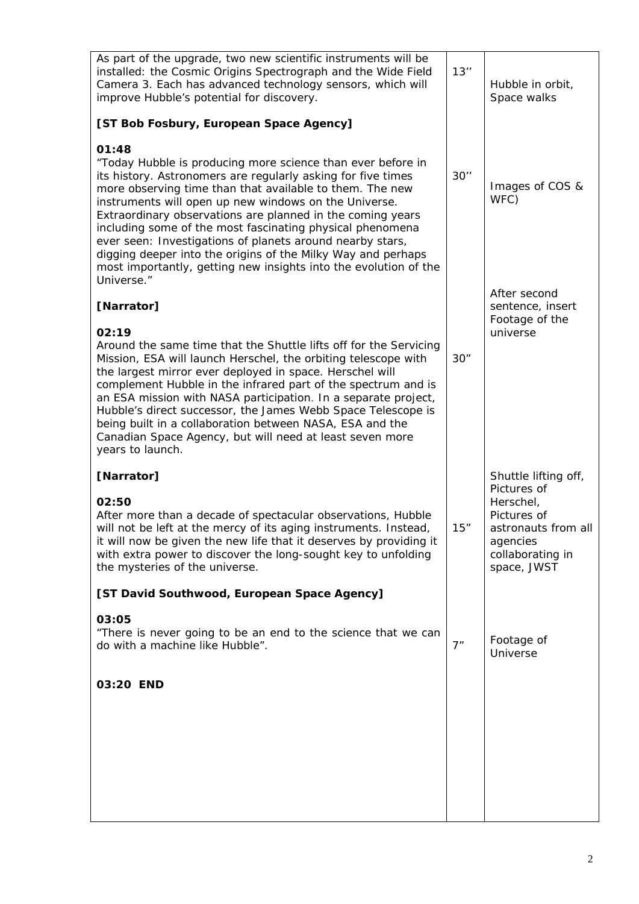| As part of the upgrade, two new scientific instruments will be<br>installed: the Cosmic Origins Spectrograph and the Wide Field<br>Camera 3. Each has advanced technology sensors, which will<br>improve Hubble's potential for discovery.                                                                                                                                                                                                                                                                                                                                                          | 13'' | Hubble in orbit,<br>Space walks                                                                               |
|-----------------------------------------------------------------------------------------------------------------------------------------------------------------------------------------------------------------------------------------------------------------------------------------------------------------------------------------------------------------------------------------------------------------------------------------------------------------------------------------------------------------------------------------------------------------------------------------------------|------|---------------------------------------------------------------------------------------------------------------|
| [ST Bob Fosbury, European Space Agency]                                                                                                                                                                                                                                                                                                                                                                                                                                                                                                                                                             |      |                                                                                                               |
| 01:48<br>"Today Hubble is producing more science than ever before in<br>its history. Astronomers are regularly asking for five times<br>more observing time than that available to them. The new<br>instruments will open up new windows on the Universe.<br>Extraordinary observations are planned in the coming years<br>including some of the most fascinating physical phenomena<br>ever seen: Investigations of planets around nearby stars,<br>digging deeper into the origins of the Milky Way and perhaps<br>most importantly, getting new insights into the evolution of the<br>Universe." | 30'' | Images of COS &<br>WFC)                                                                                       |
| [Narrator]                                                                                                                                                                                                                                                                                                                                                                                                                                                                                                                                                                                          |      | After second<br>sentence, insert<br>Footage of the                                                            |
| 02:19<br>Around the same time that the Shuttle lifts off for the Servicing<br>Mission, ESA will launch Herschel, the orbiting telescope with<br>the largest mirror ever deployed in space. Herschel will<br>complement Hubble in the infrared part of the spectrum and is<br>an ESA mission with NASA participation. In a separate project,<br>Hubble's direct successor, the James Webb Space Telescope is<br>being built in a collaboration between NASA, ESA and the<br>Canadian Space Agency, but will need at least seven more<br>years to launch.                                             | 30"  | universe                                                                                                      |
| [Narrator]                                                                                                                                                                                                                                                                                                                                                                                                                                                                                                                                                                                          |      | Shuttle lifting off,                                                                                          |
| 02:50<br>After more than a decade of spectacular observations, Hubble<br>will not be left at the mercy of its aging instruments. Instead,<br>it will now be given the new life that it deserves by providing it<br>with extra power to discover the long-sought key to unfolding<br>the mysteries of the universe.                                                                                                                                                                                                                                                                                  | 15"  | Pictures of<br>Herschel,<br>Pictures of<br>astronauts from all<br>agencies<br>collaborating in<br>space, JWST |
| [ST David Southwood, European Space Agency]                                                                                                                                                                                                                                                                                                                                                                                                                                                                                                                                                         |      |                                                                                                               |
| 03:05<br>"There is never going to be an end to the science that we can<br>do with a machine like Hubble".                                                                                                                                                                                                                                                                                                                                                                                                                                                                                           | 7"   | Footage of<br>Universe                                                                                        |
| 03:20 END                                                                                                                                                                                                                                                                                                                                                                                                                                                                                                                                                                                           |      |                                                                                                               |
|                                                                                                                                                                                                                                                                                                                                                                                                                                                                                                                                                                                                     |      |                                                                                                               |
|                                                                                                                                                                                                                                                                                                                                                                                                                                                                                                                                                                                                     |      |                                                                                                               |
|                                                                                                                                                                                                                                                                                                                                                                                                                                                                                                                                                                                                     |      |                                                                                                               |
|                                                                                                                                                                                                                                                                                                                                                                                                                                                                                                                                                                                                     |      |                                                                                                               |